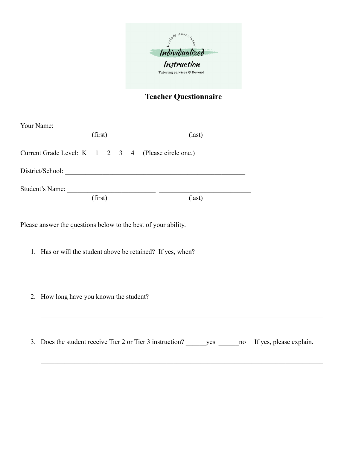

## **Teacher Questionnaire**

| Your Name: $\frac{1}{2}$<br>(first)                            | $\text{(last)}$      |  |  |  |
|----------------------------------------------------------------|----------------------|--|--|--|
| Current Grade Level: K 1 2 3 4                                 | (Please circle one.) |  |  |  |
|                                                                |                      |  |  |  |
|                                                                |                      |  |  |  |
| (first)                                                        | $\text{(last)}$      |  |  |  |
| Please answer the questions below to the best of your ability. |                      |  |  |  |
| 1. Has or will the student above be retained? If yes, when?    |                      |  |  |  |
| 2. How long have you known the student?                        |                      |  |  |  |
|                                                                |                      |  |  |  |
|                                                                |                      |  |  |  |
|                                                                |                      |  |  |  |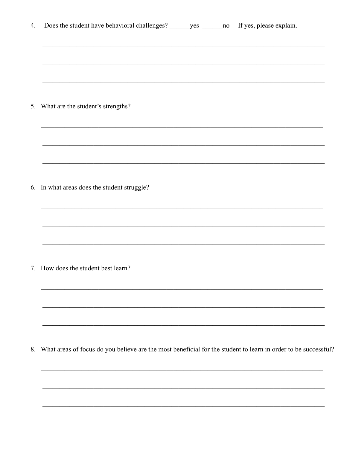| 4. | Does the student have behavioral challenges? ________ yes ________ no If yes, please explain.                     |
|----|-------------------------------------------------------------------------------------------------------------------|
|    | ,我们也不能在这里的人,我们也不能在这里的人,我们也不能在这里的人,我们也不能在这里的人,我们也不能在这里的人,我们也不能在这里的人,我们也不能在这里的人,我们也                                 |
|    |                                                                                                                   |
|    | 5. What are the student's strengths?                                                                              |
|    |                                                                                                                   |
|    | 6. In what areas does the student struggle?                                                                       |
|    |                                                                                                                   |
|    |                                                                                                                   |
|    | 7. How does the student best learn?                                                                               |
|    |                                                                                                                   |
|    | 8. What areas of focus do you believe are the most beneficial for the student to learn in order to be successful? |
|    |                                                                                                                   |